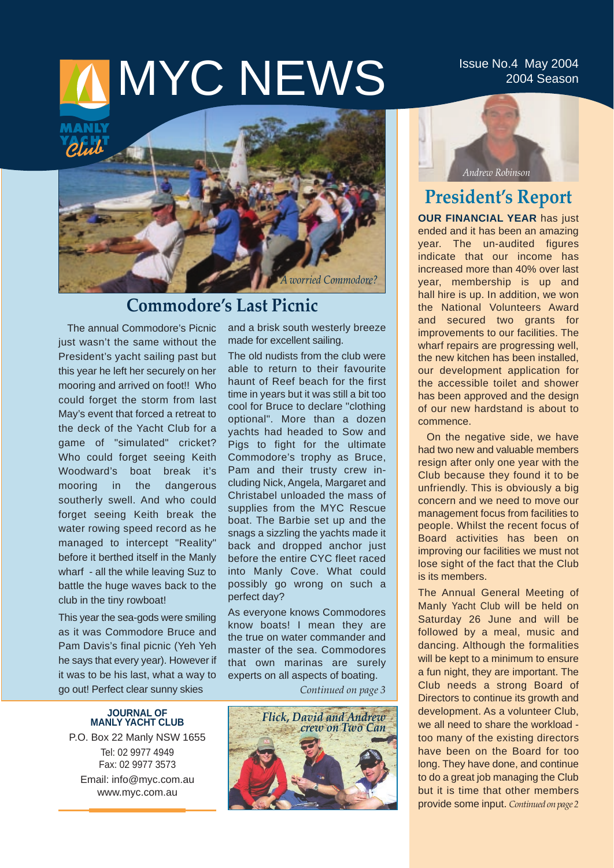# **MINYC NEWS** ISSUE NO.4 May 2004

2004 Season



## **Commodore's Last Picnic**

The annual Commodore's Picnic just wasn't the same without the President's yacht sailing past but this year he left her securely on her mooring and arrived on foot!! Who could forget the storm from last May's event that forced a retreat to the deck of the Yacht Club for a game of "simulated" cricket? Who could forget seeing Keith Woodward's boat break it's mooring in the dangerous southerly swell. And who could forget seeing Keith break the water rowing speed record as he managed to intercept "Reality" before it berthed itself in the Manly wharf - all the while leaving Suz to battle the huge waves back to the club in the tiny rowboat!

This year the sea-gods were smiling as it was Commodore Bruce and Pam Davis's final picnic (Yeh Yeh he says that every year). However if it was to be his last, what a way to go out! Perfect clear sunny skies

#### **JOURNAL OF MANLY YACHT CLUB**

P.O. Box 22 Manly NSW 1655 Tel: 02 9977 4949 Fax: 02 9977 3573 Email: info@myc.com.au www.myc.com.au

and a brisk south westerly breeze made for excellent sailing.

The old nudists from the club were able to return to their favourite haunt of Reef beach for the first time in years but it was still a bit too cool for Bruce to declare "clothing optional". More than a dozen yachts had headed to Sow and Pigs to fight for the ultimate Commodore's trophy as Bruce, Pam and their trusty crew including Nick, Angela, Margaret and Christabel unloaded the mass of supplies from the MYC Rescue boat. The Barbie set up and the snags a sizzling the yachts made it back and dropped anchor just before the entire CYC fleet raced into Manly Cove. What could possibly go wrong on such a perfect day?

As everyone knows Commodores know boats! I mean they are the true on water commander and master of the sea. Commodores that own marinas are surely experts on all aspects of boating.

*Continued on page 3*



*Andrew Robinson*

# **President's Report**

**OUR FINANCIAL YEAR** has just ended and it has been an amazing year. The un-audited figures indicate that our income has increased more than 40% over last year, membership is up and hall hire is up. In addition, we won the National Volunteers Award and secured two grants for improvements to our facilities. The wharf repairs are progressing well, the new kitchen has been installed, our development application for the accessible toilet and shower has been approved and the design of our new hardstand is about to commence.

On the negative side, we have had two new and valuable members resign after only one year with the Club because they found it to be unfriendly. This is obviously a big concern and we need to move our management focus from facilities to people. Whilst the recent focus of Board activities has been on improving our facilities we must not lose sight of the fact that the Club is its members.

The Annual General Meeting of Manly Yacht Club will be held on Saturday 26 June and will be followed by a meal, music and dancing. Although the formalities will be kept to a minimum to ensure a fun night, they are important. The Club needs a strong Board of Directors to continue its growth and development. As a volunteer Club, we all need to share the workload too many of the existing directors have been on the Board for too long. They have done, and continue to do a great job managing the Club but it is time that other members provide some input. *Continued on page 2*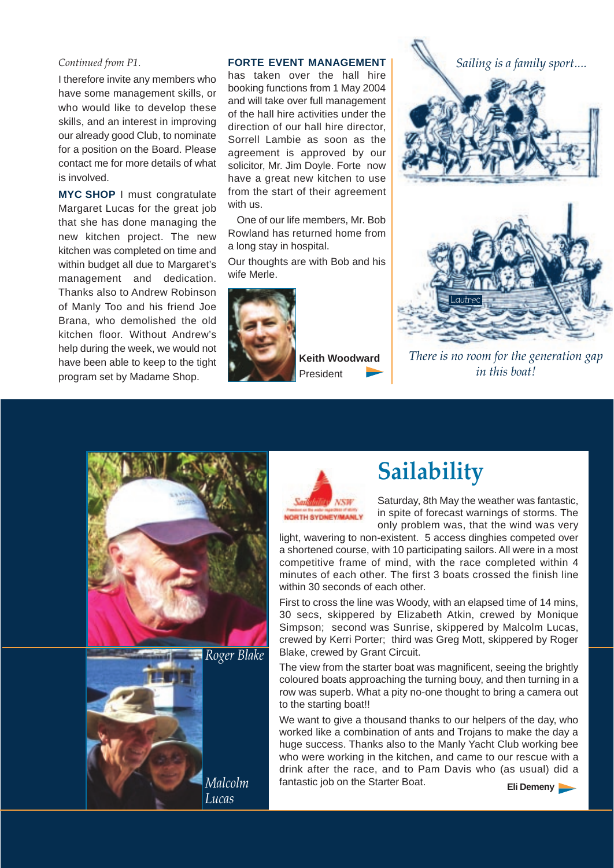#### *Continued from P1.*

I therefore invite any members who have some management skills, or who would like to develop these skills, and an interest in improving our already good Club, to nominate for a position on the Board. Please contact me for more details of what is involved.

**MYC SHOP** I must congratulate Margaret Lucas for the great job that she has done managing the new kitchen project. The new kitchen was completed on time and within budget all due to Margaret's management and dedication. Thanks also to Andrew Robinson of Manly Too and his friend Joe Brana, who demolished the old kitchen floor. Without Andrew's help during the week, we would not have been able to keep to the tight program set by Madame Shop.

#### **FORTE EVENT MANAGEMENT**

has taken over the hall hire booking functions from 1 May 2004 and will take over full management of the hall hire activities under the direction of our hall hire director, Sorrell Lambie as soon as the agreement is approved by our solicitor, Mr. Jim Doyle. Forte now have a great new kitchen to use from the start of their agreement with us.

One of our life members, Mr. Bob Rowland has returned home from a long stay in hospital.

Our thoughts are with Bob and his wife Merle.



**Keith Woodward**  President



*There is no room for the generation gap in this boat!*







# **Sailability**

Saturday, 8th May the weather was fantastic, in spite of forecast warnings of storms. The only problem was, that the wind was very

light, wavering to non-existent. 5 access dinghies competed over a shortened course, with 10 participating sailors. All were in a most competitive frame of mind, with the race completed within 4 minutes of each other. The first 3 boats crossed the finish line within 30 seconds of each other.

First to cross the line was Woody, with an elapsed time of 14 mins, 30 secs, skippered by Elizabeth Atkin, crewed by Monique Simpson; second was Sunrise, skippered by Malcolm Lucas, crewed by Kerri Porter; third was Greg Mott, skippered by Roger Blake, crewed by Grant Circuit.

The view from the starter boat was magnificent, seeing the brightly coloured boats approaching the turning bouy, and then turning in a row was superb. What a pity no-one thought to bring a camera out to the starting boat!!

We want to give a thousand thanks to our helpers of the day, who worked like a combination of ants and Trojans to make the day a huge success. Thanks also to the Manly Yacht Club working bee who were working in the kitchen, and came to our rescue with a drink after the race, and to Pam Davis who (as usual) did a fantastic job on the Starter Boat. **Eli Demeny**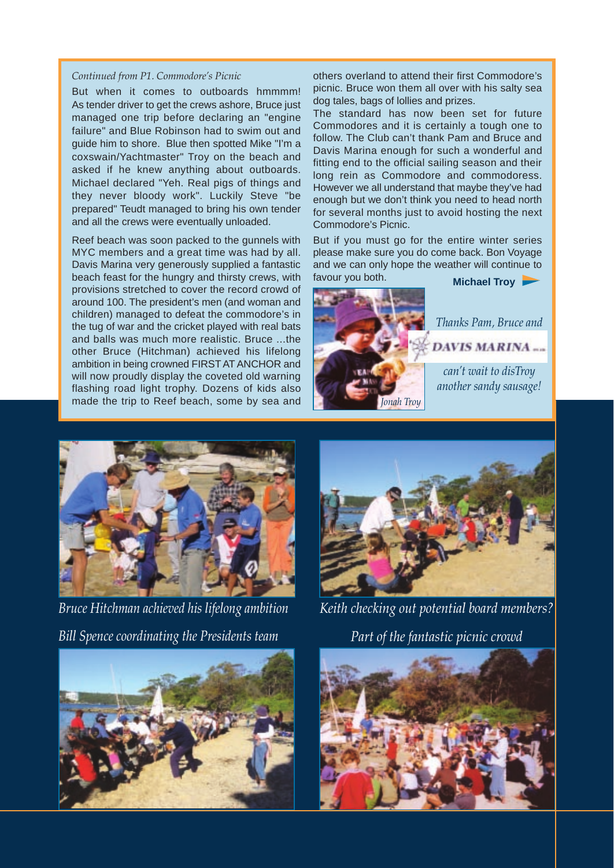#### *Continued from P1. Commodore's Picnic*

But when it comes to outboards hmmmm! As tender driver to get the crews ashore, Bruce just managed one trip before declaring an "engine failure" and Blue Robinson had to swim out and guide him to shore. Blue then spotted Mike "I'm a coxswain/Yachtmaster" Troy on the beach and asked if he knew anything about outboards. Michael declared "Yeh. Real pigs of things and they never bloody work". Luckily Steve "be prepared" Teudt managed to bring his own tender and all the crews were eventually unloaded.

Reef beach was soon packed to the gunnels with MYC members and a great time was had by all. Davis Marina very generously supplied a fantastic beach feast for the hungry and thirsty crews, with provisions stretched to cover the record crowd of around 100. The president's men (and woman and children) managed to defeat the commodore's in the tug of war and the cricket played with real bats and balls was much more realistic. Bruce ...the other Bruce (Hitchman) achieved his lifelong ambition in being crowned FIRST AT ANCHOR and will now proudly display the coveted old warning flashing road light trophy. Dozens of kids also made the trip to Reef beach, some by sea and others overland to attend their first Commodore's picnic. Bruce won them all over with his salty sea dog tales, bags of lollies and prizes.

The standard has now been set for future Commodores and it is certainly a tough one to follow. The Club can't thank Pam and Bruce and Davis Marina enough for such a wonderful and fitting end to the official sailing season and their long rein as Commodore and commodoress. However we all understand that maybe they've had enough but we don't think you need to head north for several months just to avoid hosting the next Commodore's Picnic.

But if you must go for the entire winter series please make sure you do come back. Bon Voyage and we can only hope the weather will continue to





*Bruce Hitchman achieved his lifelong ambition Bill Spence coordinating the Presidents team*



*Keith checking out potential board members? Part of the fantastic picnic crowd* 



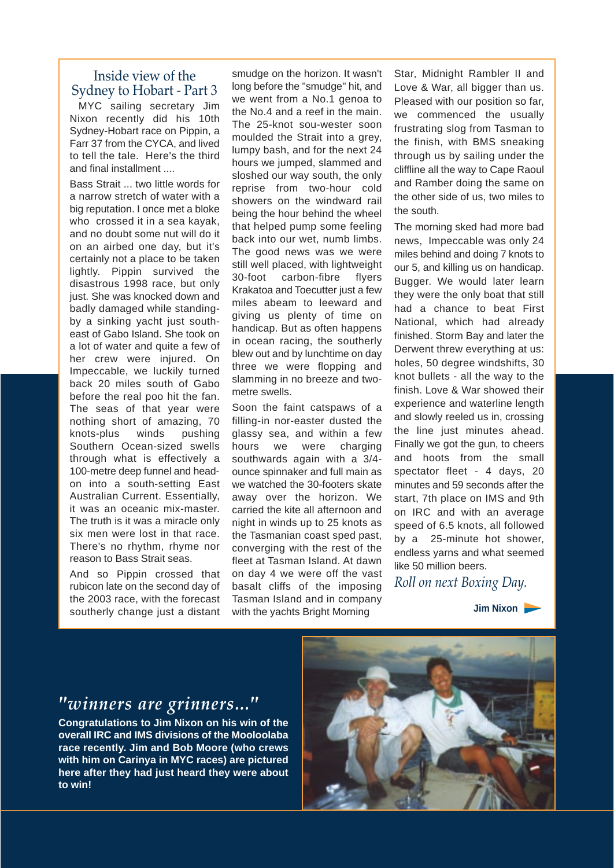## Inside view of the Sydney to Hobart - Part 3

MYC sailing secretary Jim Nixon recently did his 10th Sydney-Hobart race on Pippin, a Farr 37 from the CYCA, and lived to tell the tale. Here's the third and final installment

Bass Strait ... two little words for a narrow stretch of water with a big reputation. I once met a bloke who crossed it in a sea kayak, and no doubt some nut will do it on an airbed one day, but it's certainly not a place to be taken lightly. Pippin survived the disastrous 1998 race, but only just. She was knocked down and badly damaged while standingby a sinking yacht just southeast of Gabo Island. She took on a lot of water and quite a few of her crew were injured. On Impeccable, we luckily turned back 20 miles south of Gabo before the real poo hit the fan. The seas of that year were nothing short of amazing, 70 knots-plus winds pushing Southern Ocean-sized swells through what is effectively a 100-metre deep funnel and headon into a south-setting East Australian Current. Essentially, it was an oceanic mix-master. The truth is it was a miracle only six men were lost in that race. There's no rhythm, rhyme nor reason to Bass Strait seas.

And so Pippin crossed that rubicon late on the second day of the 2003 race, with the forecast southerly change just a distant

smudge on the horizon. It wasn't long before the "smudge'' hit, and we went from a No.1 genoa to the No.4 and a reef in the main. The 25-knot sou-wester soon moulded the Strait into a grey, lumpy bash, and for the next 24 hours we jumped, slammed and sloshed our way south, the only reprise from two-hour cold showers on the windward rail being the hour behind the wheel that helped pump some feeling back into our wet, numb limbs. The good news was we were still well placed, with lightweight 30-foot carbon-fibre flyers Krakatoa and Toecutter just a few miles abeam to leeward and giving us plenty of time on handicap. But as often happens in ocean racing, the southerly blew out and by lunchtime on day three we were flopping and slamming in no breeze and twometre swells.

Soon the faint catspaws of a filling-in nor-easter dusted the glassy sea, and within a few hours we were charging southwards again with a 3/4 ounce spinnaker and full main as we watched the 30-footers skate away over the horizon. We carried the kite all afternoon and night in winds up to 25 knots as the Tasmanian coast sped past, converging with the rest of the fleet at Tasman Island. At dawn on day 4 we were off the vast basalt cliffs of the imposing Tasman Island and in company with the yachts Bright Morning

Star, Midnight Rambler II and Love & War, all bigger than us. Pleased with our position so far, we commenced the usually frustrating slog from Tasman to the finish, with BMS sneaking through us by sailing under the cliffline all the way to Cape Raoul and Ramber doing the same on the other side of us, two miles to the south.

The morning sked had more bad news, Impeccable was only 24 miles behind and doing 7 knots to our 5, and killing us on handicap. Bugger. We would later learn they were the only boat that still had a chance to beat First National, which had already finished. Storm Bay and later the Derwent threw everything at us: holes, 50 degree windshifts, 30 knot bullets - all the way to the finish. Love & War showed their experience and waterline length and slowly reeled us in, crossing the line just minutes ahead. Finally we got the gun, to cheers and hoots from the small spectator fleet - 4 days, 20 minutes and 59 seconds after the start, 7th place on IMS and 9th on IRC and with an average speed of 6.5 knots, all followed by a 25-minute hot shower, endless yarns and what seemed like 50 million beers.

*Roll on next Boxing Day.*

**Jim Nixon**

# *"winners are grinners..."*

**Congratulations to Jim Nixon on his win of the overall IRC and IMS divisions of the Mooloolaba race recently. Jim and Bob Moore (who crews with him on Carinya in MYC races) are pictured here after they had just heard they were about to win!** 

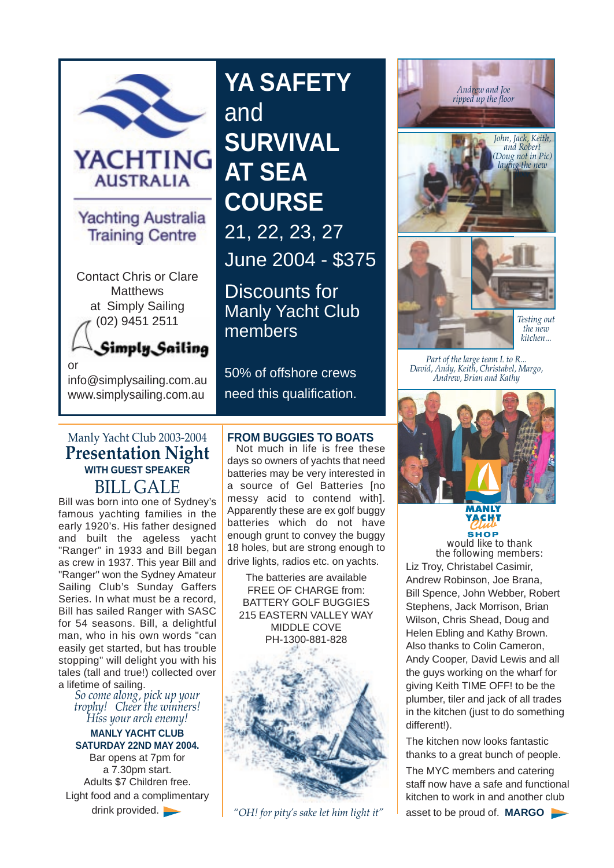

## **Yachting Australia Training Centre**

Contact Chris or Clare **Matthews** at Simply Sailing (02) 9451 2511

Simply Sailing

info@simplysailing.com.au www.simplysailing.com.au

or

**YA SAFETY and SURVIVAL AT SEA COURSE** 21, 22, 23, 27 June 2004 - \$375

Discounts for Manly Yacht Club members

50% of offshore crews need this qualification.

## Manly Yacht Club 2003-2004 **Presentation Night WITH GUEST SPEAKER**  BILL GALE

Bill was born into one of Sydney's famous yachting families in the early 1920's. His father designed and built the ageless yacht "Ranger" in 1933 and Bill began as crew in 1937. This year Bill and "Ranger" won the Sydney Amateur Sailing Club's Sunday Gaffers Series. In what must be a record, Bill has sailed Ranger with SASC for 54 seasons. Bill, a delightful man, who in his own words "can easily get started, but has trouble stopping" will delight you with his tales (tall and true!) collected over a lifetime of sailing.

*So come along, pick up your trophy! Cheer the winners! Hiss your arch enemy!*

**MANLY YACHT CLUB SATURDAY 22ND MAY 2004.**

Bar opens at 7pm for a 7.30pm start. Adults \$7 Children free. Light food and a complimentary drink provided.

## **FROM BUGGIES TO BOATS**

Not much in life is free these days so owners of yachts that need batteries may be very interested in a source of Gel Batteries [no messy acid to contend with]. Apparently these are ex golf buggy batteries which do not have enough grunt to convey the buggy 18 holes, but are strong enough to drive lights, radios etc. on yachts.

The batteries are available FREE OF CHARGE from: BATTERY GOLF BUGGIES 215 EASTERN VALLEY WAY MIDDLE COVE PH-1300-881-828









*Part of the large team L to R... David, Andy, Keith, Christabel, Margo, Andrew, Brian and Kathy*



<u>үдсні т</u> **SHOP**

*would like to thank the following members:*  Liz Troy, Christabel Casimir, Andrew Robinson, Joe Brana, Bill Spence, John Webber, Robert Stephens, Jack Morrison, Brian Wilson, Chris Shead, Doug and Helen Ebling and Kathy Brown. Also thanks to Colin Cameron, Andy Cooper, David Lewis and all the guys working on the wharf for giving Keith TIME OFF! to be the plumber, tiler and jack of all trades in the kitchen (just to do something different!).

The kitchen now looks fantastic thanks to a great bunch of people.

The MYC members and catering staff now have a safe and functional kitchen to work in and another club *"OH! for pity's sake let him light it"* asset to be proud of. **MARGO**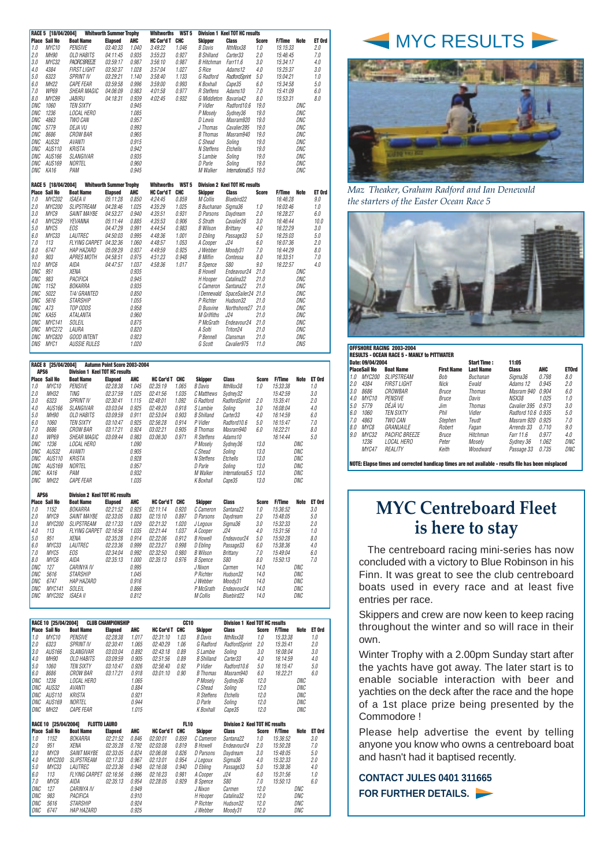|                          | <b>Place Sail No</b> | <b>Boat Name</b>                    | <b>Elapsed</b>                 | ,,,,,<br>AHC   | HC Cor'd T CHC    |                  | <b>Skipper</b>                  | <b>Class</b>                          | <b>Score</b> | <b>F/Time</b><br>Note        | ET Ord     |                           |
|--------------------------|----------------------|-------------------------------------|--------------------------------|----------------|-------------------|------------------|---------------------------------|---------------------------------------|--------------|------------------------------|------------|---------------------------|
| 1.0                      | MYC10                | <b>PENSIVE</b>                      | 03:40:33                       | 1.040          | 3:49:22           | 1.046            | <b>B</b> Davis                  | NthNsx38                              | 1.0          | 15:15:33                     | 2.0        |                           |
| 2.0                      | MH90                 | <b>OLD HABITS</b>                   | 04:11:45                       | 0.935          | 3:55:23           | 0.927            | <b>B</b> Shilland               | Carter33                              | 2.0          | 15:46:45                     | 7.0        |                           |
| 3.0                      | MYC32                | <b>PACIFIC BREEZE</b>               | 03:59:17                       | 0.987          | 3:56:10           | 0.987            | <b>B</b> Hitchman               | Farr11.6                              | 3.0          | 15:34:17                     | $4.0\,$    |                           |
| 4.0                      | 4384                 | <b>FIRST LIGHT</b>                  | 03:50:37                       | 1.028          | 3:57:04           | 1.027            | S Rice                          | Adams12                               | 4.0          | 15:25:37                     | 3.0        |                           |
| 5.0                      | 6323                 | <b>SPRINT IV</b>                    | 03:29:21                       | 1.140          | 3:58:40           | 1.133            | G Radford                       | RadfordSprint                         | 5.0          | 15:04:21                     | 1.0        |                           |
| 6.0                      | MH <sub>22</sub>     | <b>CAPE FEAR</b>                    | 03:59:58                       | 0.996          | 3:59:00           | 0.993            | K Boxhall                       | Cape35                                | 6.0          | 15:34:58                     | 5.0        |                           |
| 7.0                      | <b>WP69</b><br>MYC99 | <b>SHEAR MAGIC</b><br><b>JABIRU</b> | 04:06:09                       | 0.983          | 4:01:58           | 0.977<br>0.932   | R Steffens                      | Adams10                               | 7.0          | 15:41:09                     | 6.0<br>8.0 |                           |
| 8.0<br><b>DNC</b>        | 1060                 | <b>TEN SIXTY</b>                    | 04:18:31                       | 0.939<br>0.945 | 4:02:45           |                  | G Middleton<br>P Vidler         | Bavaria42                             | 8.0          | 15:53:31                     |            |                           |
| <b>DNC</b>               | 1236                 | LOCAL HERO                          |                                | 1.085          |                   |                  | P Moselv                        | Radford10.6<br>Svdnev36               | 19.0<br>19.0 | DNC<br>DNC                   |            |                           |
| <b>DNC</b>               | 4863                 | TWO CAN                             |                                | 0.957          |                   |                  | D Lewis                         | Masram920                             | 19.0         | DNC                          |            |                           |
| <b>DNC</b>               | 5779                 | DEJA VU                             |                                | 0.993          |                   |                  | J Thomas                        | Cavalier395                           | 19.0         | DNC                          |            |                           |
| <b>DNC</b>               | 8686                 | CROW BAR                            |                                | 0.965          |                   |                  | <b>B</b> Thomas                 | Masram940                             | 19.0         | DNC                          |            |                           |
| <b>DNC</b>               | AUS32                | <b>AVANTI</b>                       |                                | 0.915          |                   |                  | C Shead                         | Soling                                | 19.0         | DNC                          |            |                           |
| <b>DNC</b>               | AUS110               | <b>KRISTA</b>                       |                                | 0.942          |                   |                  | N Steffens                      | Etchells                              | 19.0         | DNC                          |            |                           |
| <b>DNC</b>               | AUS166               | SLANGIVAR                           |                                | 0.935          |                   |                  | S Lambie                        | Solina                                | 19.0         | DNC                          |            |                           |
| <b>DNC</b>               | AUS169               | <b>NORTEL</b>                       |                                | 0.960          |                   |                  | D Parle                         | Soling                                | 19.0         | DNC                          |            |                           |
| <b>DNC</b>               | KA16                 | PAM                                 |                                | 0.945          |                   |                  | M Walker                        | International5.5 19.0                 |              | DNC                          |            |                           |
|                          |                      |                                     |                                |                |                   |                  |                                 |                                       |              |                              |            |                           |
|                          | RACE 5 [18/04/2004]  |                                     | <b>Whitworth Summer Trophy</b> |                | <b>Whitworths</b> | WST <sub>5</sub> |                                 | <b>Division 2 Keel TOT HC results</b> |              |                              |            |                           |
|                          | <b>Place Sail No</b> | <b>Boat Name</b>                    | <b>Elapsed</b>                 | AHC            | HC Cor'd T CHC    |                  | <b>Skipper</b>                  | <b>Class</b>                          | <b>Score</b> | <b>F/Time</b><br><b>Note</b> | ET Ord     | Maz Theaker, Gra          |
| 1.0                      | MYC202               | <b>ISAEA II</b>                     | 05:11:28                       | 0.850          | 4:24:45           | 0.859            | M Collis                        | Bluebird22                            |              | 16:46:28                     | 9.0        | the starters of the i     |
| 2.0                      | MYC200               | <b>SLIPSTREAM</b>                   | 04:28:46                       | 1.025          | 4:35:29           | 1.025            | B Buchanan Sigma36              |                                       | 1.0          | 16:03:46                     | 1.0        |                           |
| 3.0                      | MYC9                 | SAINT MAYBE                         | 04:53:27                       | 0.940          | 4:35:51           | 0.931            | D Parsons                       | Daydream                              | 2.0          | 16:28:27                     | 6.0        |                           |
| 4.0                      | MYC259               | YEVANNA                             | 05:11:44                       | 0.885          | 4:35:53           | 0.906            | S Strath                        | Cavalier26                            | 3.0          | 16:46:44                     | 10.0       |                           |
| 5.0                      | MYC5                 | <b>EOS</b>                          | 04:47:29                       | 0.991          | 4:44:54           | 0.983            | <b>B</b> Wilson                 | Brittany                              | 4.0          | 16:22:29                     | 3.0        |                           |
| 6.0                      | MYC33                | LAUTREC                             | 04:50:03                       | 0.995          | 4:48:36           | 1.001            | D Ebling                        | Passage33                             | 5.0          | 16:25:03                     | 5.0        |                           |
| 7.0                      | 113                  | FLYING CARPET                       | 04:32:36                       | 1.060          | 4:48:57           | 1.053            | A Cooper                        | J24                                   | 6.0          | 16:07:36                     | 2.0        |                           |
| 8.0                      | 6747                 | <b>HAP HAZARD</b>                   | 05:09:29                       | 0.937          | 4:49.59           | 0.925            | J Webber                        | Moody31                               | 7.0          | 16:44:29                     | 8.0        |                           |
| 9.0                      | 903                  | APRES MOTH                          | 04:58:51                       | 0.975          | 4:51:23           | 0.948            | <b>B</b> Miflin                 | Contessa                              | 8.0          | 16:33:51                     | 7.0        |                           |
| 10.0                     | MYC6                 | AIDA                                | 04:47:57                       | 1.037          | 4:58:36           | 1.017            | <b>B</b> Spence                 | <b>S80</b>                            | 9.0          | 16:22:57                     | 4.0        |                           |
| DNC                      | 951                  | <b>XENA</b>                         |                                | 0.935          |                   |                  | <b>B</b> Howell                 | Endeavour24                           | 21.0         | DNC                          |            |                           |
| <b>DNC</b>               | 983                  | PACIFICA                            |                                | 0.945          |                   |                  | H Hooper                        | Catalina32                            | 21.0         | DNC                          |            |                           |
| <b>DNC</b>               | 1152                 | BOKARRA                             |                                | 0.935          |                   |                  | C Cameron                       | Santana22                             | 21.0         | DNC                          |            |                           |
| <b>DNC</b>               | 5022                 | T/4/ GRANTED                        |                                | 0.850          |                   |                  | I Dennewald                     | SpaceSailer24 21.0                    |              | DNC                          |            |                           |
| <b>DNC</b>               | 5616                 | <b>STARSHIP</b>                     |                                | 1.055          |                   |                  | P Richter                       | Hudson32                              | 21.0         | DNC                          |            |                           |
| <b>DNC</b><br><b>DNC</b> | A73<br><b>KA55</b>   | TOP ODDS<br><b>ATALANTA</b>         |                                | 0.958<br>0.960 |                   |                  | D Busvine<br><b>M</b> Griffiths | Northshore27 21.0<br>J24              | 21.0         | DNC<br>DNC                   |            |                           |
|                          | <b>MYC141</b>        |                                     |                                | 0.875          |                   |                  |                                 |                                       |              |                              |            |                           |
| <b>DNC</b><br><b>DNC</b> | MYC272               | SOLEIL<br>LAURA                     |                                | 0.820          |                   |                  | P McGrath<br>A Solti            | Endeavour24<br>Triton24               | 21.0<br>21.0 | DNC<br>DNC                   |            |                           |
| <b>DNC</b>               | MYC820               | <b>GOOD INTENT</b>                  |                                | 0.923          |                   |                  | P Bennell                       | Clansman                              | 21.0         | DNC                          |            |                           |
| DNS                      | MYC1                 | <b>AUSSIE RULES</b>                 |                                | 1.020          |                   |                  | G Scott                         | Cavalier975                           | 11.0         | DNS                          |            |                           |
|                          |                      |                                     |                                |                |                   |                  |                                 |                                       |              |                              |            | OFFSHORE RACING 2003-2004 |

| <b>RACE 8 [25/04/2004]</b><br><b>Autumn Point Score 2003-2004</b><br>APS6<br><b>Division 1 Keel TOT HC results</b> |         |                           |                |       |                   |       |                   |                  |              |               |      |        |
|--------------------------------------------------------------------------------------------------------------------|---------|---------------------------|----------------|-------|-------------------|-------|-------------------|------------------|--------------|---------------|------|--------|
| Place                                                                                                              | Sail No | <b>Boat Name</b>          | <b>Elapsed</b> | AHC   | <b>HC Cor'd T</b> | CHC   | <b>Skipper</b>    | <b>Class</b>     | <b>Score</b> | <b>F/Time</b> | Note | ET Ord |
| 1.0                                                                                                                | MYC10   | <b>PENSIVE</b>            | 02:28:38       | 1.045 | 02.35:19          | 1.065 | <b>B</b> Davis    | NthNsx38         | 1.0          | 15:33:38      |      | 1.0    |
| 2.0                                                                                                                | MH32    | TING                      | 02:37:59       | 1.025 | 02:41:56          | 1.035 | C Matthews        | Sydney32         |              | 15:42:59      |      | 3.0    |
| 3.0                                                                                                                | 6323    | <b>SPRINT IV</b>          | 02:30:41       | 1.115 | 02:48:01          | 1.092 | G Radford         | RadfordSprint    | 2.0          | 15:35:41      |      | 2.0    |
| 4.0                                                                                                                | AUS166  | <b>SLANGIVAR</b>          | 03:03:04       | 0.925 | 02:49:20          | 0.918 | S Lambie          | Soling           | 3.0          | 16:08:04      |      | 4.0    |
| 5.0                                                                                                                | MH90    | OLD HABITS                | 03:09:59       | 0.911 | 02:53:04          | 0.903 | <b>B</b> Shilland | Carter33         | 4.0          | 16:14:59      |      | 6.0    |
| 6.0                                                                                                                | 1060    | <b>TEN SIXTY</b>          | 03:10:47       | 0.925 | 02:56:28          | 0.914 | P Vidler          | Radford 10.6     | 5.0          | 16:15:47      |      | 7.0    |
| 7.0                                                                                                                | 8686    | <i>CROW BAR</i>           | 03:17:21       | 0.924 | 03:02:21          | 0.905 | <b>B</b> Thomas   | Masram940        | 6.0          | 16:22:21      |      | 8.0    |
| 8.0                                                                                                                | WP69    | <i><b>SHEAR MAGIC</b></i> | 03:09:44       | 0.983 | 03:06:30          | 0.971 | R Steffens        | Adams10          |              | 16:14:44      |      | 5.0    |
| DNC                                                                                                                | 1236    | LOCAL HERO                |                | 1.090 |                   |       | P Moselv          | Sydney36         | 13.0         |               | DNC  |        |
| <b>DNC</b>                                                                                                         | AUS32   | AVANTI                    |                | 0.905 |                   |       | C Shead           | Solina           | 13.0         |               | DNC  |        |
| DNC                                                                                                                | AUS110  | KRISTA                    |                | 0.928 |                   |       | N Steffens        | Etchells         | 13.0         |               | DNC  |        |
| DNC                                                                                                                | AUS169  | NORTEL                    |                | 0.957 |                   |       | D Parle           | Solina           | 13.0         |               | DNC  |        |
| DNC                                                                                                                | KA16    | PAM                       |                | 0.932 |                   |       | M Walker          | International5.5 | 13.0         |               | DNC  |        |
| DNC                                                                                                                | MH22    | <b>CAPE FEAR</b>          |                | 1.035 |                   |       | K Boxhall         | Cape35           | 13.0         |               | DNC  |        |

|            | <b>Place Sail No</b> | <b>Boat Name</b>     | <b>Elapsed</b> | AHC   | HC Cor'd T | CHC   | Skipper         | <b>Class</b>            | <b>Score</b> | <b>F/Time</b> | Note | ET Ord |
|------------|----------------------|----------------------|----------------|-------|------------|-------|-----------------|-------------------------|--------------|---------------|------|--------|
| 1.0        | 1152                 | <b>BOKARRA</b>       | 02:21:52       | 0.925 | 02:11:14   | 0.920 | C Cameron       | Santana22               | 1.0          | 15:36:52      |      | 3.0    |
| 2.0        | MYC9                 | <b>SAINT MAYBE</b>   | 02:33:05       | 0.883 | 02:15:10   | 0.897 | D Parsons       | Davdream                | 2.0          | 15:48:05      |      | 5.0    |
| 3.0        | <i>MYC200</i>        | SLIPSTREAM           | 02:17:33       | 1.029 | 02:21:32   | 1.020 | J Legoux        | Sigma36                 | 3.0          | 15:32:33      |      | 2.0    |
| 4.0        | 113                  | <b>FLYING CARPET</b> | 02:16:56       | 1.035 | 02:21:44   | 1.037 | A Cooper        | J24                     | 4.0          | 15:31:56      |      | 1.0    |
| 5.0        | 951                  | XENA                 | 02:35:28       | 0.914 | 02:22:06   | 0.912 | <b>B</b> Howell | Endeavour <sub>24</sub> | 5.0          | 15:50:28      |      | 8.0    |
| 6.0        | MYC33                | LAUTREC              | 02:23:36       | 0.999 | 02:23:27   | 0.998 | D Ebling        | Passage33               | 6.0          | 15:38:36      |      | 4.0    |
| 7.0        | MYC5                 | EOS                  | 02:34:04       | 0.992 | 02:32:50   | 0.980 | B Wilson        | Brittany                | 7.0          | 15:49:04      |      | 6.0    |
| 8.0        | MYC6                 | AIDA                 | 02:35:13       | 1.000 | 02:35:13   | 0.976 | <b>B</b> Spence | S80                     | 8.0          | 15:50:13      |      | 7.0    |
| DNC        | 127                  | CARINYA IV           |                | 0.995 |            |       | J Nixon         | Carmen                  | 14.0         |               | DNC  |        |
| <b>DNC</b> | 5616                 | <b>STARSHIP</b>      |                | 1.045 |            |       | P Richter       | Hudson32                | 14.0         |               | DNC  |        |
| <b>DNC</b> | 6747                 | HAP HAZARD           |                | 0.916 |            |       | J Webber        | Moodv31                 | 14.0         |               | DNC  |        |
| <b>DNC</b> | MYC141               | SOLEIL               |                | 0.866 |            |       | P McGrath       | Endeavour24             | 14.0         |               | DNC  |        |
| DNC        | MYC202               | ISAEA II             |                | 0.812 |            |       | M Collis        | Bluebird22              | 14.0         |               | DNC  |        |
|            |                      |                      |                |       |            |       |                 |                         |              |               |      |        |

|            | RACE 10 [25/04/2004] |                      | <b>CLUB CHAMPIONSHIP</b> |       |                   | CC <sub>10</sub> |                   | <b>Division 1 Keel TOT HC results</b> |              |               |      |        |
|------------|----------------------|----------------------|--------------------------|-------|-------------------|------------------|-------------------|---------------------------------------|--------------|---------------|------|--------|
|            | <b>Place Sail No</b> | <b>Boat Name</b>     | <b>Elapsed</b>           | AHC   | <b>HC Cor'd T</b> | CHC              | <b>Skipper</b>    | <b>Class</b>                          | <b>Score</b> | <b>F/Time</b> | Note | ET Ord |
| 1.0        | MYC10                | <b>PENSIVE</b>       | 02:28:38                 | 1.017 | 02.31:10          | 1.03             | <b>B</b> Davis    | NthNsx38                              | 1.0          | 15:33:38      |      | 1.0    |
| 2.0        | 6323                 | <b>SPRINT IV</b>     | 02:30:41                 | 1.065 | 02:40:29          | 1.06             | G Radford         | RadfordSprint                         | 2.0          | 15:35:41      |      | 2.0    |
| 3.0        | AUS166               | <b>SLANGIVAR</b>     | 03:03:04                 | 0.892 | 02:43:18          | 0.89             | S Lambie          | Soling                                | 3.0          | 16:08:04      |      | 3.0    |
| 4.0        | MH90                 | OLD HABITS           | 03:09:59                 | 0.905 | 02:51:56          | 0.89             | <b>B</b> Shilland | Carter <sub>33</sub>                  | 4.0          | 16:14:59      |      | 4.0    |
| 5.0        | 1060                 | <b>TEN SIXTY</b>     | 03:10:47                 | 0.926 | 02:56:40          | 0.92             | P Vidler          | Radford10.6                           | 5.0          | 16:15:47      |      | 5.0    |
| 6.0        | 8686                 | <b>CROW BAR</b>      | 03:17:21                 | 0.918 | 03:01:10          | 0.90             | <b>B</b> Thomas   | Masram940                             | 6.0          | 16:22:21      |      | 6.0    |
| DNC        | 1236                 | LOCAL HERO           |                          | 1.065 |                   |                  | P Moselv          | Sydney36                              | 12.0         |               | DNC  |        |
| DNC        | AUS32                | <b>AVANTI</b>        |                          | 0.884 |                   |                  | C Shead           | Soling                                | 12.0         |               | DNC  |        |
| DNC        | <b>AUS110</b>        | <b>KRISTA</b>        |                          | 0.921 |                   |                  | R Steffens        | Etchells                              | 12.0         |               | DNC  |        |
| DNC        | AUS169               | NORTEL               |                          | 0.944 |                   |                  | D Parle           | Soling                                | 12.0         |               | DNC  |        |
| DNC        | MH <sub>22</sub>     | <b>CAPE FEAR</b>     |                          | 1.015 |                   |                  | K Boxhall         | Cape35                                | 12.0         |               | DNC  |        |
|            | RACE 10 [25/04/2004] | <b>FLOTTO LAURO</b>  |                          |       |                   | <b>FL10</b>      |                   | <b>Division 2 Keel TOT HC results</b> |              |               |      |        |
|            | <b>Place Sail No</b> | <b>Boat Name</b>     | <b>Elapsed</b>           | AHC   | <b>HC Cor'd T</b> | CHC              | <b>Skipper</b>    | <b>Class</b>                          | <b>Score</b> | <b>F/Time</b> | Note | ET Ord |
| 1.0        | 1152                 | <b>BOKARRA</b>       | 02:21:52                 | 0.846 | 02:00:01          | 0.859            | C Cameron         | Santana22                             | 1.0          | 15:36:52      |      | 3.0    |
| 2.0        | 951                  | <b>XENA</b>          | 02:35:28                 | 0.792 | 02:03:08          | 0.819            | <b>B</b> Howell   | Endeavour <sub>24</sub>               | 2.0          | 15:50:28      |      | 7.0    |
| 3.0        | MYC9                 | <b>SAINT MAYBE</b>   | 02:33:05                 | 0.824 | 02:06:08          | 0.826            | D Parsons         | Daydream                              | 3.0          | 15:48:05      |      | 5.0    |
| 4.0        | MYC200               | <b>SLIPSTREAM</b>    | 02:17:33                 | 0.967 | 02:13:01          | 0.954            | J Legoux          | Sigma36                               | 4.0          | 15:32:33      |      | 2.0    |
| 5.0        | MYC33                | LAUTREC              | 02:23:36                 | 0.948 | 02:16:08          | 0.940            | D Eblina          | Passage33                             | 5.0          | 15:38:36      |      | 4.0    |
| 6.0        | 113                  | <b>FLYING CARPET</b> | 02:16:56                 | 0.996 | 02:16:23          | 0.981            | A Cooper          | J24                                   | 6.0          | 15:31:56      |      | 1.0    |
| 7.0        | MYC6                 | AIDA                 | 02:35:13                 | 0.954 | 02:28:05          | 0.929            | <b>B</b> Spence   | <i>S80</i>                            | 7.0          | 15:50:13      |      | 6.0    |
| DNC        | 127                  | CARINYA IV           |                          | 0.949 |                   |                  | J Nixon           | Carmen                                | 12.0         |               | DNC  |        |
| DNC        | 983                  | PACIFICA             |                          | 0.910 |                   |                  | H Hooper          | Catalina32                            | 12.0         |               | DNC  |        |
| DNC        | 5616                 | <b>STARSHIP</b>      |                          | 0.924 |                   |                  | P Richter         | Hudson32                              | 12.0         |               | DNC  |        |
| <b>DNC</b> | 6747                 | <b>HAP HAZARD</b>    |                          | 0.925 |                   |                  | J Webber          | Moody31                               | 12.0         |               | DNC  |        |

## **MYC RESULTS**



*Maz Theaker, Graham Radford and Ian Denewald the starters of the Easter Ocean Race 5* 



|     | Date: 09/04/2004    |                       |                   | <b>Start Time:</b> | 11:05               |            |              |
|-----|---------------------|-----------------------|-------------------|--------------------|---------------------|------------|--------------|
|     | <b>PlaceSail No</b> | <b>Boat Name</b>      | <b>First Name</b> | <b>Last Name</b>   | <b>Class</b>        | <b>AHC</b> | <b>ET0rd</b> |
| 1.0 | MYC200              | <b>SLIPSTREAM</b>     | Bob               | <b>Buchanan</b>    | Siama36             | 0.798      | 8.0          |
| 2.0 | 4384                | <b>FIRST LIGHT</b>    | Nick              | Ewald              | Adams 12            | 0.945      | 2.0          |
| 3.0 | 8686                | CROWBAR               | Bruce             | Thomas             | Masram 940          | 0.904      | 6.0          |
| 4.0 | MYC <sub>10</sub>   | PENSIVE               | <b>Bruce</b>      | Davis              | <b>NSX38</b>        | 1.025      | 1.0          |
| 5.0 | 5779                | DÉJA VIJ              | <b>Jim</b>        | <b>Thomas</b>      | <i>Cavalier 395</i> | 0.973      | 3.0          |
| 6.0 | 1060                | <b>TEN SIXTY</b>      | Phil              | Vidler             | Radford 10.6 0.935  |            | 5.0          |
| 7.0 | 4863                | TWO CAN               | Stephen           | Teudt              | Masram 920 0.925    |            | 7.0          |
| 8.0 | MYC8                | GRANUAILE             | Robert            | Fagan              | Arrends 33          | 0.710      | 9.0          |
| 9.0 | <i>MYC32</i>        | <b>PACIFIC BREEZE</b> | Bruce             | Hitchman           | Farr 11.6           | 0.977      | 4.0          |
|     | 1236                | LOCAL HERO            | Peter             | Moselv             | Sydney 36           | 1.062      | DNC          |
|     | MYC47               | REALITY               | Keith             | Woodward           | Passage 33          | 0.735      | DNC          |

**NOTE: Elapse times and corrected handicap times are not available - results file has been misplaced**

## **MYC Centreboard Fleet is here to stay**

The centreboard racing mini-series has now concluded with a victory to Blue Robinson in his Finn. It was great to see the club centreboard boats used in every race and at least five entries per race.

Skippers and crew are now keen to keep racing throughout the winter and so will race in their own.

Winter Trophy with a 2.00pm Sunday start after the yachts have got away. The later start is to enable sociable interaction with beer and yachties on the deck after the race and the hope of a 1st place prize being presented by the Commodore !

Please help advertise the event by telling anyone you know who owns a centreboard boat and hasn't had it baptised recently.

**CONTACT JULES 0401 311665 FOR FURTHER DETAILS.**